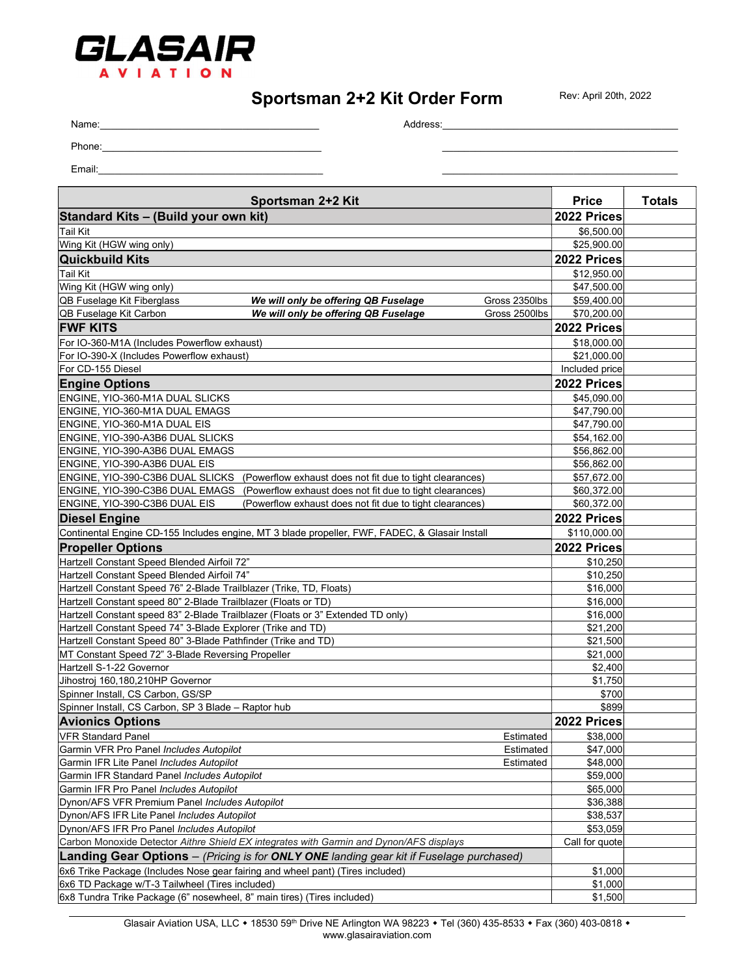

## Sportsman 2+2 Kit Order Form

Rev: April 20th, 2022

Name:\_\_\_\_\_\_\_\_\_\_\_\_\_\_\_\_\_\_\_\_\_\_\_\_\_\_\_\_\_\_\_\_\_\_\_\_\_\_\_\_ Address:\_\_\_\_\_\_\_\_\_\_\_\_\_\_\_\_\_\_\_\_\_\_\_\_\_\_\_\_\_\_\_\_\_\_\_\_\_\_\_\_\_\_\_

Phone:\_\_\_\_\_\_\_\_\_\_\_\_\_\_\_\_\_\_\_\_\_\_\_\_\_\_\_\_\_\_\_\_\_\_\_\_\_\_\_\_ \_\_\_\_\_\_\_\_\_\_\_\_\_\_\_\_\_\_\_\_\_\_\_\_\_\_\_\_\_\_\_\_\_\_\_\_\_\_\_\_\_\_\_

Email:\_\_\_\_\_\_\_\_\_\_\_\_\_\_\_\_\_\_\_\_\_\_\_\_\_\_\_\_\_\_\_\_\_\_\_\_\_\_\_\_\_ \_\_\_\_\_\_\_\_\_\_\_\_\_\_\_\_\_\_\_\_\_\_\_\_\_\_\_\_\_\_\_\_\_\_\_\_\_\_\_\_\_\_\_

| Sportsman 2+2 Kit                                                                                     | <b>Price</b>               | <b>Totals</b> |
|-------------------------------------------------------------------------------------------------------|----------------------------|---------------|
| Standard Kits - (Build your own kit)                                                                  | 2022 Prices                |               |
| <b>Tail Kit</b>                                                                                       | \$6,500.00                 |               |
| Wing Kit (HGW wing only)                                                                              | \$25,900.00                |               |
| <b>Quickbuild Kits</b>                                                                                | 2022 Prices                |               |
| <b>Tail Kit</b>                                                                                       | \$12,950.00                |               |
| Wing Kit (HGW wing only)                                                                              | \$47,500.00                |               |
| QB Fuselage Kit Fiberglass<br>We will only be offering QB Fuselage<br>Gross 2350lbs                   | \$59,400.00                |               |
| QB Fuselage Kit Carbon<br>We will only be offering QB Fuselage<br>Gross 2500lbs                       | \$70,200.00                |               |
| <b>FWF KITS</b>                                                                                       | 2022 Prices                |               |
| For IO-360-M1A (Includes Powerflow exhaust)                                                           | \$18,000.00                |               |
| For IO-390-X (Includes Powerflow exhaust)                                                             | \$21,000.00                |               |
| For CD-155 Diesel                                                                                     | Included price             |               |
| <b>Engine Options</b>                                                                                 | 2022 Prices                |               |
| ENGINE, YIO-360-M1A DUAL SLICKS                                                                       |                            |               |
| ENGINE, YIO-360-M1A DUAL EMAGS                                                                        | \$45,090.00<br>\$47,790.00 |               |
| ENGINE, YIO-360-M1A DUAL EIS                                                                          | \$47,790.00                |               |
| ENGINE, YIO-390-A3B6 DUAL SLICKS                                                                      |                            |               |
| ENGINE. YIO-390-A3B6 DUAL EMAGS                                                                       | \$54,162.00                |               |
| ENGINE. YIO-390-A3B6 DUAL EIS                                                                         | \$56,862.00<br>\$56,862.00 |               |
| ENGINE, YIO-390-C3B6 DUAL SLICKS (Powerflow exhaust does not fit due to tight clearances)             | \$57,672.00                |               |
| ENGINE, YIO-390-C3B6 DUAL EMAGS (Powerflow exhaust does not fit due to tight clearances)              | \$60,372.00                |               |
| ENGINE, YIO-390-C3B6 DUAL EIS<br>(Powerflow exhaust does not fit due to tight clearances)             | \$60,372.00                |               |
|                                                                                                       |                            |               |
| <b>Diesel Engine</b>                                                                                  | 2022 Prices                |               |
| Continental Engine CD-155 Includes engine, MT 3 blade propeller, FWF, FADEC, & Glasair Install        | \$110,000.00               |               |
| <b>Propeller Options</b>                                                                              | 2022 Prices                |               |
| Hartzell Constant Speed Blended Airfoil 72"                                                           | \$10,250                   |               |
| Hartzell Constant Speed Blended Airfoil 74"                                                           | \$10,250                   |               |
| Hartzell Constant Speed 76" 2-Blade Trailblazer (Trike, TD, Floats)                                   | \$16,000                   |               |
| Hartzell Constant speed 80" 2-Blade Trailblazer (Floats or TD)                                        | \$16,000                   |               |
| Hartzell Constant speed 83" 2-Blade Trailblazer (Floats or 3" Extended TD only)                       | \$16,000                   |               |
| Hartzell Constant Speed 74" 3-Blade Explorer (Trike and TD)                                           | \$21,200                   |               |
| Hartzell Constant Speed 80" 3-Blade Pathfinder (Trike and TD)                                         | \$21,500                   |               |
| MT Constant Speed 72" 3-Blade Reversing Propeller                                                     | \$21,000                   |               |
| Hartzell S-1-22 Governor                                                                              | \$2,400                    |               |
| Jihostroj 160,180,210HP Governor                                                                      | \$1,750                    |               |
| Spinner Install, CS Carbon, GS/SP                                                                     | \$700                      |               |
| Spinner Install, CS Carbon, SP 3 Blade - Raptor hub                                                   | \$899                      |               |
| <b>Avionics Options</b>                                                                               | 2022 Prices                |               |
| VFR Standard Panel<br>Estimated                                                                       | \$38,000                   |               |
| Garmin VFR Pro Panel Includes Autopilot<br>Estimated                                                  | \$47,000                   |               |
| Estimated<br>Garmin IFR Lite Panel Includes Autopilot                                                 | \$48,000                   |               |
| Garmin IFR Standard Panel Includes Autopilot                                                          | \$59,000                   |               |
| Garmin IFR Pro Panel Includes Autopilot                                                               | \$65,000                   |               |
| Dynon/AFS VFR Premium Panel Includes Autopilot                                                        | \$36,388                   |               |
| Dynon/AFS IFR Lite Panel Includes Autopilot                                                           | \$38,537                   |               |
| Dynon/AFS IFR Pro Panel Includes Autopilot                                                            | \$53,059                   |               |
| Carbon Monoxide Detector Aithre Shield EX integrates with Garmin and Dynon/AFS displays               | Call for quote             |               |
| <b>Landing Gear Options</b> – (Pricing is for <b>ONLY ONE</b> landing gear kit if Fuselage purchased) |                            |               |
| 6x6 Trike Package (Includes Nose gear fairing and wheel pant) (Tires included)                        | \$1,000                    |               |
| 6x6 TD Package w/T-3 Tailwheel (Tires included)                                                       | \$1,000                    |               |
| 6x8 Tundra Trike Package (6" nosewheel, 8" main tires) (Tires included)                               | \$1,500                    |               |